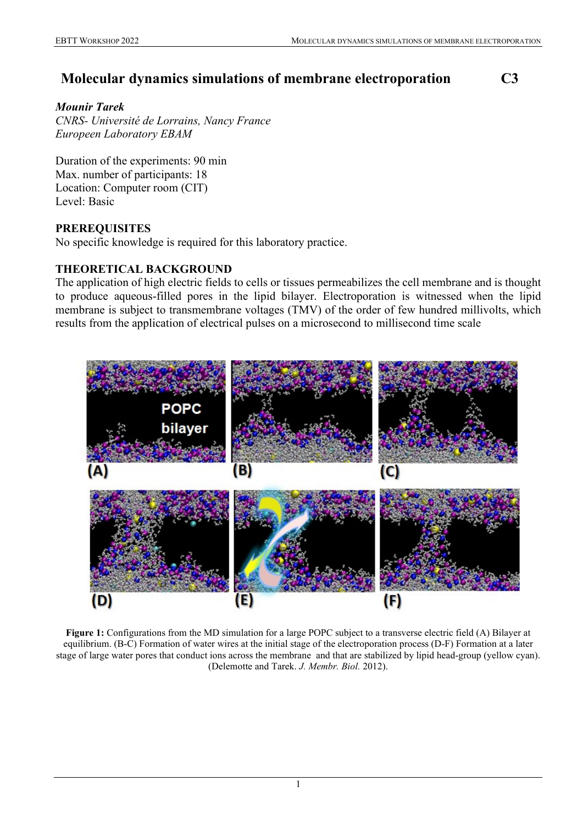# **Molecular dynamics simulations of membrane electroporation C3**

### *Mounir Tarek*

*CNRS- Université de Lorrains, Nancy France Europeen Laboratory EBAM*

Duration of the experiments: 90 min Max. number of participants: 18 Location: Computer room (CIT) Level: Basic

## **PREREQUISITES**

No specific knowledge is required for this laboratory practice.

## **THEORETICAL BACKGROUND**

The application of high electric fields to cells or tissues permeabilizes the cell membrane and is thought to produce aqueous-filled pores in the lipid bilayer. Electroporation is witnessed when the lipid membrane is subject to transmembrane voltages (TMV) of the order of few hundred millivolts, which results from the application of electrical pulses on a microsecond to millisecond time scale



**Figure 1:** Configurations from the MD simulation for a large POPC subject to a transverse electric field (A) Bilayer at equilibrium. (B-C) Formation of water wires at the initial stage of the electroporation process (D-F) Formation at a later stage of large water pores that conduct ions across the membrane and that are stabilized by lipid head-group (yellow cyan). (Delemotte and Tarek. *J. Membr. Biol.* 2012).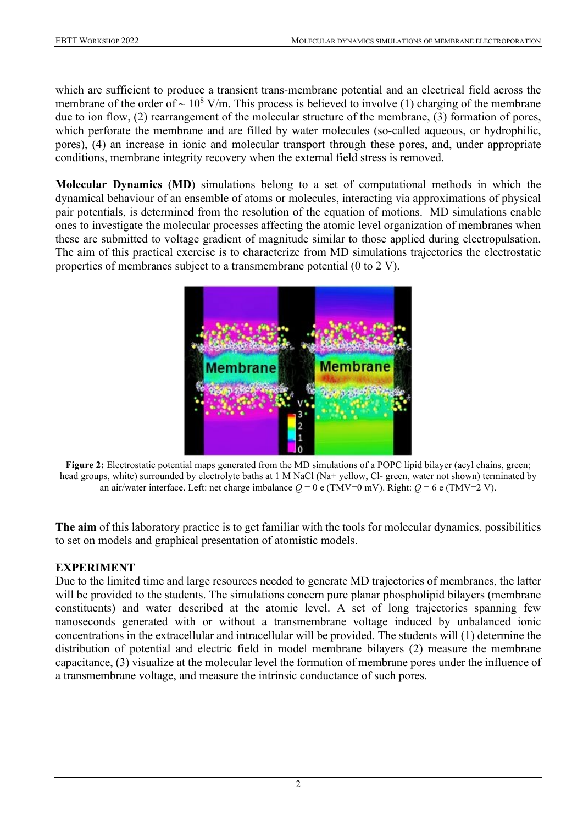which are sufficient to produce a transient trans-membrane potential and an electrical field across the membrane of the order of  $\sim 10^8$  V/m. This process is believed to involve (1) charging of the membrane due to ion flow, (2) rearrangement of the molecular structure of the membrane, (3) formation of pores, which perforate the membrane and are filled by water molecules (so-called aqueous, or hydrophilic, pores), (4) an increase in ionic and molecular transport through these pores, and, under appropriate conditions, membrane integrity recovery when the external field stress is removed.

**Molecular Dynamics** (**MD**) simulations belong to a set of computational methods in which the dynamical behaviour of an ensemble of atoms or molecules, interacting via approximations of physical pair potentials, is determined from the resolution of the equation of motions. MD simulations enable ones to investigate the molecular processes affecting the atomic level organization of membranes when these are submitted to voltage gradient of magnitude similar to those applied during electropulsation. The aim of this practical exercise is to characterize from MD simulations trajectories the electrostatic properties of membranes subject to a transmembrane potential (0 to 2 V).



**Figure 2:** Electrostatic potential maps generated from the MD simulations of a POPC lipid bilayer (acyl chains, green; head groups, white) surrounded by electrolyte baths at 1 M NaCl (Na+ yellow, Cl- green, water not shown) terminated by an air/water interface. Left: net charge imbalance  $Q = 0$  e (TMV=0 mV). Right:  $Q = 6$  e (TMV=2 V).

**The aim** of this laboratory practice is to get familiar with the tools for molecular dynamics, possibilities to set on models and graphical presentation of atomistic models.

## **EXPERIMENT**

Due to the limited time and large resources needed to generate MD trajectories of membranes, the latter will be provided to the students. The simulations concern pure planar phospholipid bilayers (membrane constituents) and water described at the atomic level. A set of long trajectories spanning few nanoseconds generated with or without a transmembrane voltage induced by unbalanced ionic concentrations in the extracellular and intracellular will be provided. The students will (1) determine the distribution of potential and electric field in model membrane bilayers (2) measure the membrane capacitance, (3) visualize at the molecular level the formation of membrane pores under the influence of a transmembrane voltage, and measure the intrinsic conductance of such pores.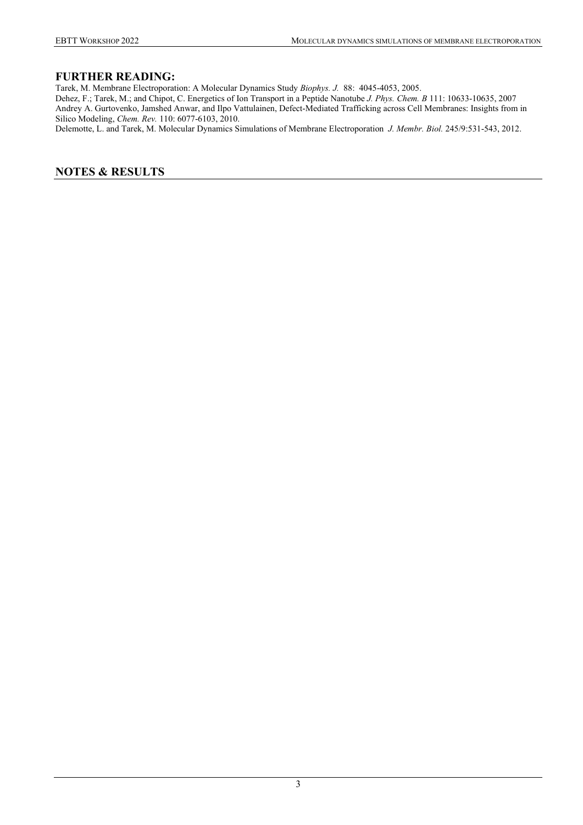#### **FURTHER READING:**

Tarek, M. Membrane Electroporation: A Molecular Dynamics Study *Biophys. J.* 88: 4045-4053, 2005.

Dehez, F.; Tarek, M.; and Chipot, C. Energetics of Ion Transport in a Peptide Nanotube *J. Phys. Chem. B* 111: 10633-10635, 2007 Andrey A. Gurtovenko, Jamshed Anwar, and Ilpo Vattulainen, Defect-Mediated Trafficking across Cell Membranes: Insights from in Silico Modeling, *Chem. Rev.* 110: 6077-6103, 2010.

Delemotte, L. and Tarek, M. Molecular Dynamics Simulations of Membrane Electroporation *J. Membr. Biol.* 245/9:531-543, 2012.

### **NOTES & RESULTS**